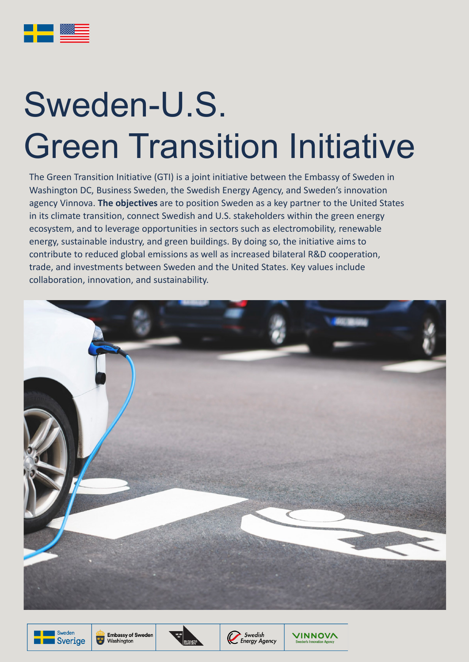The Green Transition Initiative (GTI) is a joint initiative between the Embassy of Sweden in Washington DC, Business Sweden, the Swedish Energy Agency, and Sweden's innovation agency Vinnova. **The objectives** are to position Sweden as a key partner to the United States in its climate transition, connect Swedish and U.S. stakeholders within the green energy ecosystem, and to leverage opportunities in sectors such as electromobility, renewable energy, sustainable industry, and green buildings. By doing so, the initiative aims to contribute to reduced global emissions as well as increased bilateral R&D cooperation, trade, and investments between Sweden and the United States. Key values include collaboration, innovation, and sustainability.







## Sweden-U.S. Green Transition Initiative